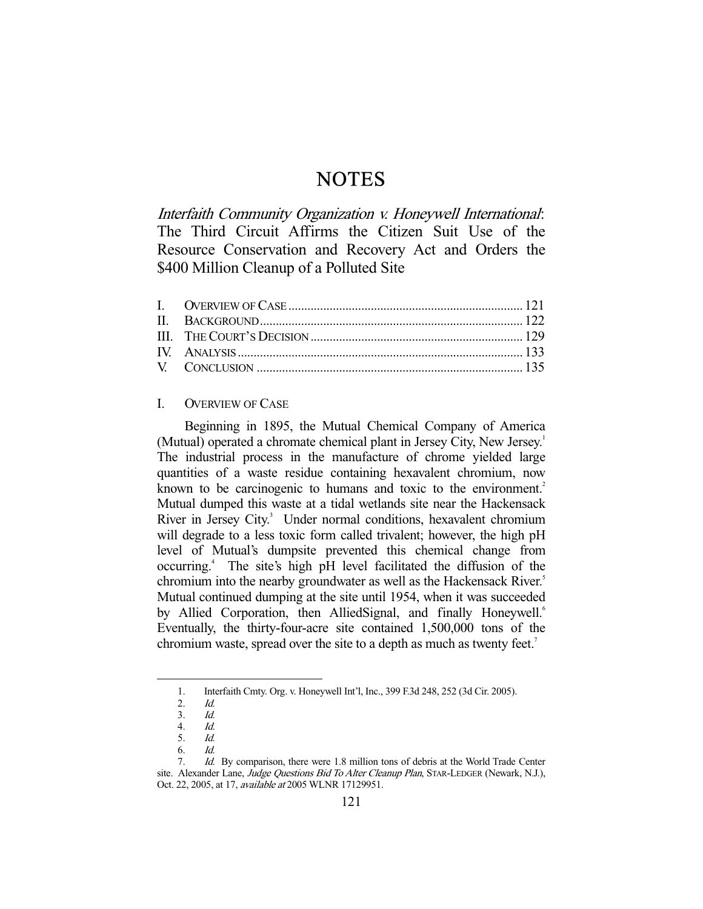# **NOTES**

Interfaith Community Organization v. Honeywell International: The Third Circuit Affirms the Citizen Suit Use of the Resource Conservation and Recovery Act and Orders the \$400 Million Cleanup of a Polluted Site

## I. OVERVIEW OF CASE

 Beginning in 1895, the Mutual Chemical Company of America (Mutual) operated a chromate chemical plant in Jersey City, New Jersey.<sup>1</sup> The industrial process in the manufacture of chrome yielded large quantities of a waste residue containing hexavalent chromium, now known to be carcinogenic to humans and toxic to the environment.<sup>2</sup> Mutual dumped this waste at a tidal wetlands site near the Hackensack River in Jersey City.<sup>3</sup> Under normal conditions, hexavalent chromium will degrade to a less toxic form called trivalent; however, the high pH level of Mutual's dumpsite prevented this chemical change from occurring.4 The site's high pH level facilitated the diffusion of the chromium into the nearby groundwater as well as the Hackensack River.<sup>5</sup> Mutual continued dumping at the site until 1954, when it was succeeded by Allied Corporation, then AlliedSignal, and finally Honeywell.<sup>6</sup> Eventually, the thirty-four-acre site contained 1,500,000 tons of the chromium waste, spread over the site to a depth as much as twenty feet.<sup>7</sup>

 <sup>1.</sup> Interfaith Cmty. Org. v. Honeywell Int'l, Inc., 399 F.3d 248, 252 (3d Cir. 2005).

 <sup>2.</sup> Id.

 <sup>3.</sup> Id. 4. Id.

 <sup>5.</sup> Id.

 <sup>6.</sup> Id.

 <sup>7.</sup> Id. By comparison, there were 1.8 million tons of debris at the World Trade Center site. Alexander Lane, Judge Questions Bid To Alter Cleanup Plan, STAR-LEDGER (Newark, N.J.), Oct. 22, 2005, at 17, available at 2005 WLNR 17129951.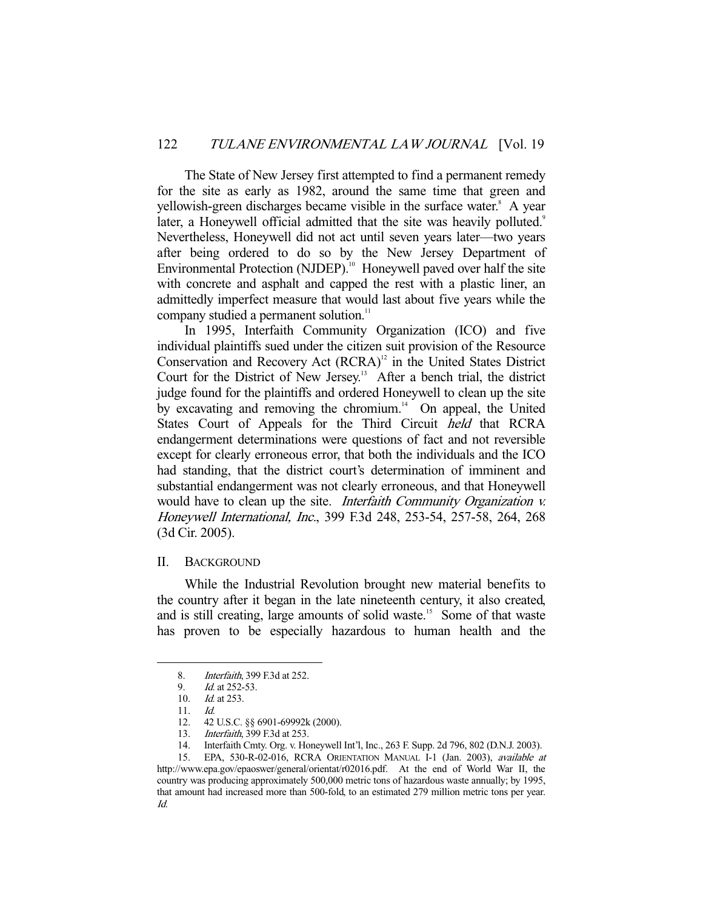The State of New Jersey first attempted to find a permanent remedy for the site as early as 1982, around the same time that green and yellowish-green discharges became visible in the surface water.<sup>8</sup> A year later, a Honeywell official admitted that the site was heavily polluted.<sup>9</sup> Nevertheless, Honeywell did not act until seven years later—two years after being ordered to do so by the New Jersey Department of Environmental Protection (NJDEP).<sup>10</sup> Honeywell paved over half the site with concrete and asphalt and capped the rest with a plastic liner, an admittedly imperfect measure that would last about five years while the company studied a permanent solution.<sup>11</sup>

 In 1995, Interfaith Community Organization (ICO) and five individual plaintiffs sued under the citizen suit provision of the Resource Conservation and Recovery Act (RCRA)<sup>12</sup> in the United States District Court for the District of New Jersey.<sup>13</sup> After a bench trial, the district judge found for the plaintiffs and ordered Honeywell to clean up the site by excavating and removing the chromium. $14$  On appeal, the United States Court of Appeals for the Third Circuit held that RCRA endangerment determinations were questions of fact and not reversible except for clearly erroneous error, that both the individuals and the ICO had standing, that the district court's determination of imminent and substantial endangerment was not clearly erroneous, and that Honeywell would have to clean up the site. *Interfaith Community Organization v.* Honeywell International, Inc., 399 F.3d 248, 253-54, 257-58, 264, 268 (3d Cir. 2005).

### II. BACKGROUND

 While the Industrial Revolution brought new material benefits to the country after it began in the late nineteenth century, it also created, and is still creating, large amounts of solid waste.<sup>15</sup> Some of that waste has proven to be especially hazardous to human health and the

 <sup>8.</sup> Interfaith, 399 F.3d at 252.

 <sup>9.</sup> Id. at 252-53.

 <sup>10.</sup> Id. at 253.

 <sup>11.</sup> Id.

 <sup>12. 42</sup> U.S.C. §§ 6901-69992k (2000).

 <sup>13.</sup> Interfaith, 399 F.3d at 253.

 <sup>14.</sup> Interfaith Cmty. Org. v. Honeywell Int'l, Inc., 263 F. Supp. 2d 796, 802 (D.N.J. 2003).

<sup>15.</sup> EPA, 530-R-02-016, RCRA ORIENTATION MANUAL I-1 (Jan. 2003), available at http://www.epa.gov/epaoswer/general/orientat/r02016.pdf. At the end of World War II, the country was producing approximately 500,000 metric tons of hazardous waste annually; by 1995, that amount had increased more than 500-fold, to an estimated 279 million metric tons per year. Id.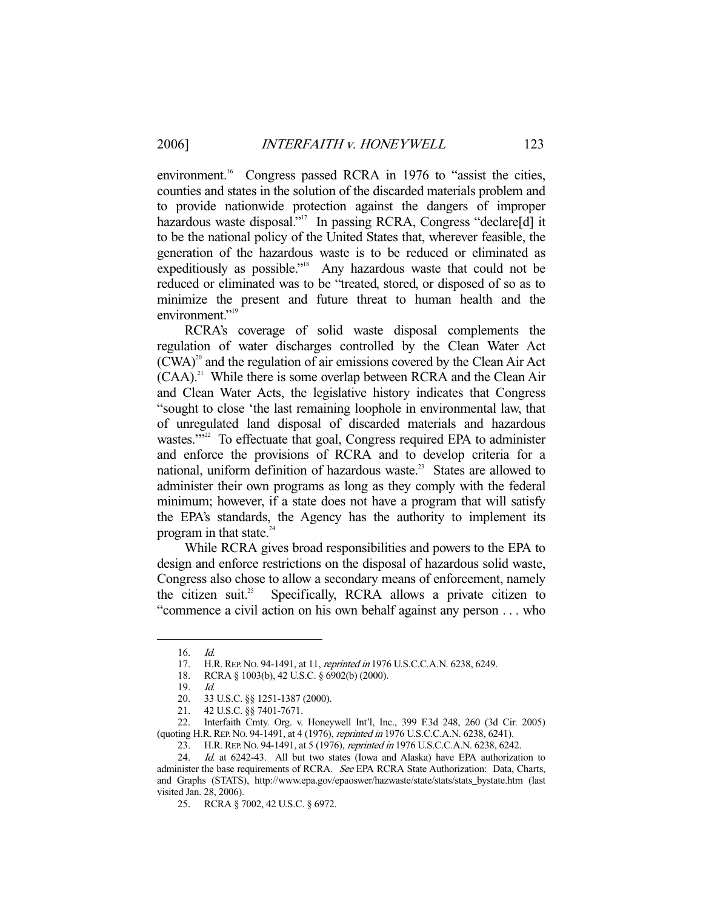environment.<sup>16</sup> Congress passed RCRA in 1976 to "assist the cities, counties and states in the solution of the discarded materials problem and to provide nationwide protection against the dangers of improper hazardous waste disposal."<sup>17</sup> In passing RCRA, Congress "declare[d] it to be the national policy of the United States that, wherever feasible, the generation of the hazardous waste is to be reduced or eliminated as expeditiously as possible."<sup>18</sup> Any hazardous waste that could not be reduced or eliminated was to be "treated, stored, or disposed of so as to minimize the present and future threat to human health and the environment."<sup>19</sup>

 RCRA's coverage of solid waste disposal complements the regulation of water discharges controlled by the Clean Water Act  $(CWA)^{20}$  and the regulation of air emissions covered by the Clean Air Act  $(CAA)^{21}$  While there is some overlap between RCRA and the Clean Air and Clean Water Acts, the legislative history indicates that Congress "sought to close 'the last remaining loophole in environmental law, that of unregulated land disposal of discarded materials and hazardous wastes."<sup>22</sup> To effectuate that goal, Congress required EPA to administer and enforce the provisions of RCRA and to develop criteria for a national, uniform definition of hazardous waste.<sup>23</sup> States are allowed to administer their own programs as long as they comply with the federal minimum; however, if a state does not have a program that will satisfy the EPA's standards, the Agency has the authority to implement its program in that state. $24$ 

 While RCRA gives broad responsibilities and powers to the EPA to design and enforce restrictions on the disposal of hazardous solid waste, Congress also chose to allow a secondary means of enforcement, namely the citizen suit.<sup>25</sup> Specifically, RCRA allows a private citizen to "commence a civil action on his own behalf against any person . . . who

 <sup>16.</sup> Id.

<sup>17.</sup> H.R. REP. No. 94-1491, at 11, *reprinted in* 1976 U.S.C.C.A.N. 6238, 6249.

 <sup>18.</sup> RCRA § 1003(b), 42 U.S.C. § 6902(b) (2000).

 <sup>19.</sup> Id.

 <sup>20. 33</sup> U.S.C. §§ 1251-1387 (2000).

 <sup>21. 42</sup> U.S.C. §§ 7401-7671.

 <sup>22.</sup> Interfaith Cmty. Org. v. Honeywell Int'l, Inc., 399 F.3d 248, 260 (3d Cir. 2005) (quoting H.R.REP. NO. 94-1491, at 4 (1976), reprinted in 1976 U.S.C.C.A.N. 6238, 6241).

<sup>23.</sup> H.R. REP. No. 94-1491, at 5 (1976), reprinted in 1976 U.S.C.C.A.N. 6238, 6242.

 <sup>24.</sup> Id. at 6242-43. All but two states (Iowa and Alaska) have EPA authorization to administer the base requirements of RCRA. See EPA RCRA State Authorization: Data, Charts, and Graphs (STATS), http://www.epa.gov/epaoswer/hazwaste/state/stats/stats\_bystate.htm (last visited Jan. 28, 2006).

 <sup>25.</sup> RCRA § 7002, 42 U.S.C. § 6972.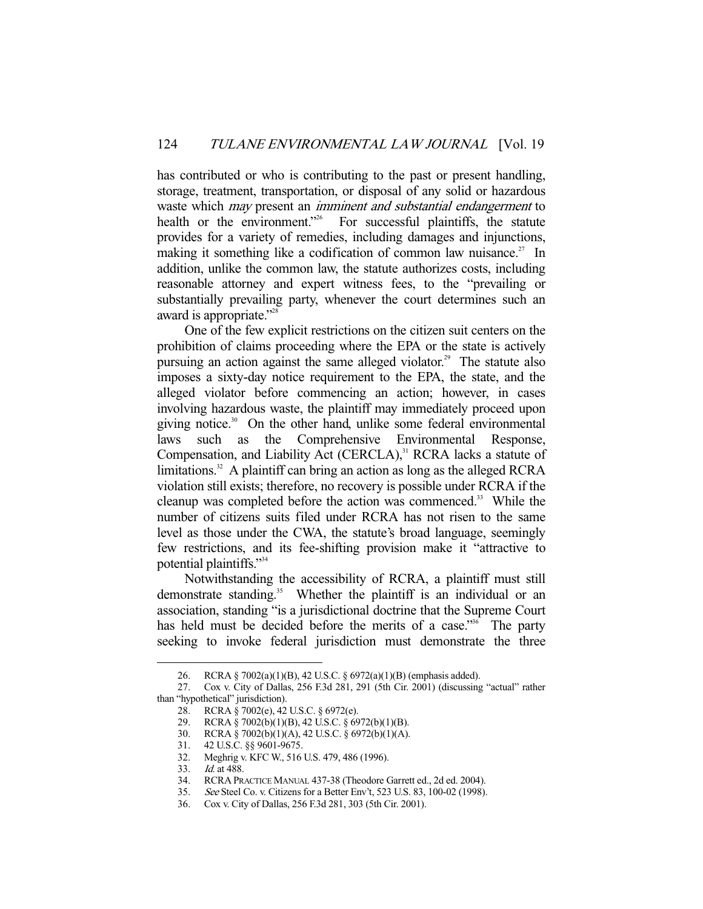has contributed or who is contributing to the past or present handling, storage, treatment, transportation, or disposal of any solid or hazardous waste which *may* present an *imminent and substantial endangerment* to health or the environment."<sup>26</sup> For successful plaintiffs, the statute provides for a variety of remedies, including damages and injunctions, making it something like a codification of common law nuisance.<sup>27</sup> In addition, unlike the common law, the statute authorizes costs, including reasonable attorney and expert witness fees, to the "prevailing or substantially prevailing party, whenever the court determines such an award is appropriate."<sup>28</sup>

 One of the few explicit restrictions on the citizen suit centers on the prohibition of claims proceeding where the EPA or the state is actively pursuing an action against the same alleged violator.<sup>29</sup> The statute also imposes a sixty-day notice requirement to the EPA, the state, and the alleged violator before commencing an action; however, in cases involving hazardous waste, the plaintiff may immediately proceed upon giving notice.<sup>30</sup> On the other hand, unlike some federal environmental laws such as the Comprehensive Environmental Response, Compensation, and Liability Act (CERCLA),<sup>31</sup> RCRA lacks a statute of limitations.<sup>32</sup> A plaintiff can bring an action as long as the alleged RCRA violation still exists; therefore, no recovery is possible under RCRA if the cleanup was completed before the action was commenced.<sup>33</sup> While the number of citizens suits filed under RCRA has not risen to the same level as those under the CWA, the statute's broad language, seemingly few restrictions, and its fee-shifting provision make it "attractive to potential plaintiffs."34

 Notwithstanding the accessibility of RCRA, a plaintiff must still demonstrate standing.<sup>35</sup> Whether the plaintiff is an individual or an association, standing "is a jurisdictional doctrine that the Supreme Court has held must be decided before the merits of a case."<sup>36</sup> The party seeking to invoke federal jurisdiction must demonstrate the three

 <sup>26.</sup> RCRA § 7002(a)(1)(B), 42 U.S.C. § 6972(a)(1)(B) (emphasis added).

 <sup>27.</sup> Cox v. City of Dallas, 256 F.3d 281, 291 (5th Cir. 2001) (discussing "actual" rather than "hypothetical" jurisdiction).

 <sup>28.</sup> RCRA § 7002(e), 42 U.S.C. § 6972(e).

 <sup>29.</sup> RCRA § 7002(b)(1)(B), 42 U.S.C. § 6972(b)(1)(B).

<sup>30.</sup> RCRA § 7002(b)(1)(A), 42 U.S.C. § 6972(b)(1)(A).<br>31. 42 U.S.C. §§ 9601-9675.

<sup>31. 42</sup> U.S.C. §§ 9601-9675.<br>32. Meghrig v. KFC W., 516 Meghrig v. KFC W., 516 U.S. 479, 486 (1996).

<sup>33.</sup> *Id.* at 488.<br>34. RCRA PR. RCRA PRACTICE MANUAL 437-38 (Theodore Garrett ed., 2d ed. 2004).

 <sup>35.</sup> See Steel Co. v. Citizens for a Better Env't, 523 U.S. 83, 100-02 (1998).

 <sup>36.</sup> Cox v. City of Dallas, 256 F.3d 281, 303 (5th Cir. 2001).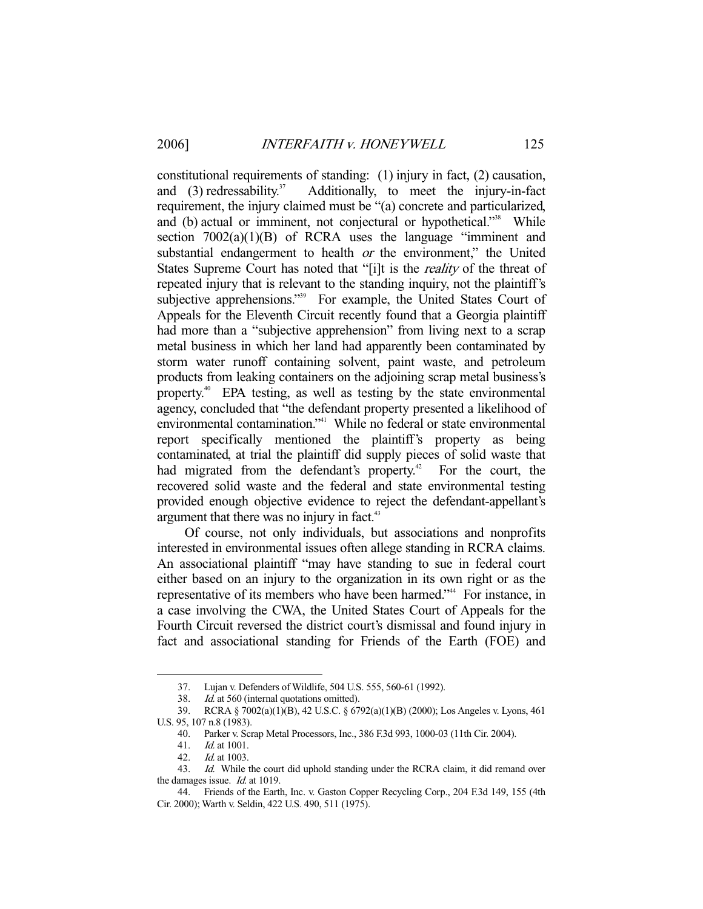constitutional requirements of standing: (1) injury in fact, (2) causation, and  $(3)$  redressability.<sup>37</sup> Additionally, to meet the injury-in-fact requirement, the injury claimed must be "(a) concrete and particularized, and (b) actual or imminent, not conjectural or hypothetical."<sup>38</sup> While section  $7002(a)(1)(B)$  of RCRA uses the language "imminent and substantial endangerment to health *or* the environment," the United States Supreme Court has noted that "[i]t is the *reality* of the threat of repeated injury that is relevant to the standing inquiry, not the plaintiff's subjective apprehensions."<sup>39</sup> For example, the United States Court of Appeals for the Eleventh Circuit recently found that a Georgia plaintiff had more than a "subjective apprehension" from living next to a scrap metal business in which her land had apparently been contaminated by storm water runoff containing solvent, paint waste, and petroleum products from leaking containers on the adjoining scrap metal business's property.40 EPA testing, as well as testing by the state environmental agency, concluded that "the defendant property presented a likelihood of environmental contamination."41 While no federal or state environmental report specifically mentioned the plaintiff's property as being contaminated, at trial the plaintiff did supply pieces of solid waste that had migrated from the defendant's property.<sup>42</sup> For the court, the had migrated from the defendant's property.<sup>42</sup> recovered solid waste and the federal and state environmental testing provided enough objective evidence to reject the defendant-appellant's argument that there was no injury in fact.<sup>43</sup>

 Of course, not only individuals, but associations and nonprofits interested in environmental issues often allege standing in RCRA claims. An associational plaintiff "may have standing to sue in federal court either based on an injury to the organization in its own right or as the representative of its members who have been harmed."44 For instance, in a case involving the CWA, the United States Court of Appeals for the Fourth Circuit reversed the district court's dismissal and found injury in fact and associational standing for Friends of the Earth (FOE) and

 <sup>37.</sup> Lujan v. Defenders of Wildlife, 504 U.S. 555, 560-61 (1992).

<sup>38.</sup> Id. at 560 (internal quotations omitted).

 <sup>39.</sup> RCRA § 7002(a)(1)(B), 42 U.S.C. § 6792(a)(1)(B) (2000); Los Angeles v. Lyons, 461 U.S. 95, 107 n.8 (1983).

 <sup>40.</sup> Parker v. Scrap Metal Processors, Inc., 386 F.3d 993, 1000-03 (11th Cir. 2004).

 <sup>41.</sup> Id. at 1001.

 <sup>42.</sup> Id. at 1003.

<sup>43.</sup> Id. While the court did uphold standing under the RCRA claim, it did remand over the damages issue. *Id.* at 1019.

 <sup>44.</sup> Friends of the Earth, Inc. v. Gaston Copper Recycling Corp., 204 F.3d 149, 155 (4th Cir. 2000); Warth v. Seldin, 422 U.S. 490, 511 (1975).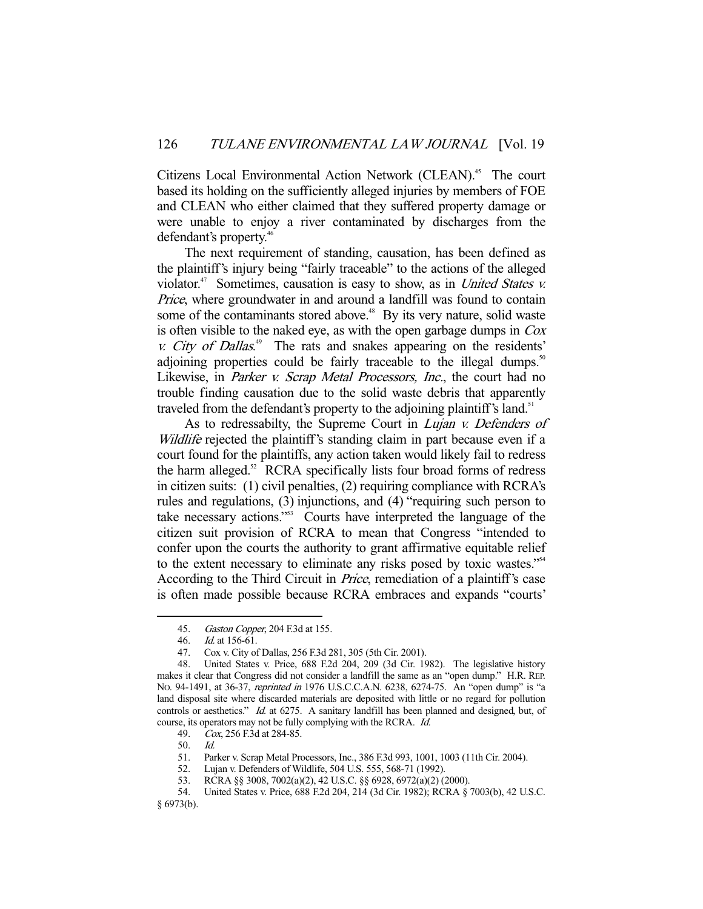Citizens Local Environmental Action Network (CLEAN).<sup>45</sup> The court based its holding on the sufficiently alleged injuries by members of FOE and CLEAN who either claimed that they suffered property damage or were unable to enjoy a river contaminated by discharges from the defendant's property.46

 The next requirement of standing, causation, has been defined as the plaintiff's injury being "fairly traceable" to the actions of the alleged violator. $47$  Sometimes, causation is easy to show, as in *United States v.* Price, where groundwater in and around a landfill was found to contain some of the contaminants stored above.<sup>48</sup> By its very nature, solid waste is often visible to the naked eye, as with the open garbage dumps in Cox  $v.$  City of Dallas.<sup>49</sup> The rats and snakes appearing on the residents' adjoining properties could be fairly traceable to the illegal dumps.<sup>50</sup> Likewise, in *Parker v. Scrap Metal Processors, Inc.*, the court had no trouble finding causation due to the solid waste debris that apparently traveled from the defendant's property to the adjoining plaintiff's land.<sup>51</sup>

As to redressabilty, the Supreme Court in *Lujan v. Defenders of* Wildlife rejected the plaintiff's standing claim in part because even if a court found for the plaintiffs, any action taken would likely fail to redress the harm alleged. $52$  RCRA specifically lists four broad forms of redress in citizen suits: (1) civil penalties, (2) requiring compliance with RCRA's rules and regulations, (3) injunctions, and (4) "requiring such person to take necessary actions."53 Courts have interpreted the language of the citizen suit provision of RCRA to mean that Congress "intended to confer upon the courts the authority to grant affirmative equitable relief to the extent necessary to eliminate any risks posed by toxic wastes."54 According to the Third Circuit in Price, remediation of a plaintiff's case is often made possible because RCRA embraces and expands "courts'

<sup>45.</sup> Gaston Copper, 204 F.3d at 155.

 <sup>46.</sup> Id. at 156-61.

 <sup>47.</sup> Cox v. City of Dallas, 256 F.3d 281, 305 (5th Cir. 2001).

 <sup>48.</sup> United States v. Price, 688 F.2d 204, 209 (3d Cir. 1982). The legislative history makes it clear that Congress did not consider a landfill the same as an "open dump." H.R. REP. No. 94-1491, at 36-37, *reprinted in* 1976 U.S.C.C.A.N. 6238, 6274-75. An "open dump" is "a land disposal site where discarded materials are deposited with little or no regard for pollution controls or aesthetics." Id. at 6275. A sanitary landfill has been planned and designed, but, of course, its operators may not be fully complying with the RCRA. Id.

 <sup>49.</sup> Cox, 256 F.3d at 284-85.

 <sup>50.</sup> Id.

 <sup>51.</sup> Parker v. Scrap Metal Processors, Inc., 386 F.3d 993, 1001, 1003 (11th Cir. 2004).

 <sup>52.</sup> Lujan v. Defenders of Wildlife, 504 U.S. 555, 568-71 (1992).

 <sup>53.</sup> RCRA §§ 3008, 7002(a)(2), 42 U.S.C. §§ 6928, 6972(a)(2) (2000).

 <sup>54.</sup> United States v. Price, 688 F.2d 204, 214 (3d Cir. 1982); RCRA § 7003(b), 42 U.S.C. § 6973(b).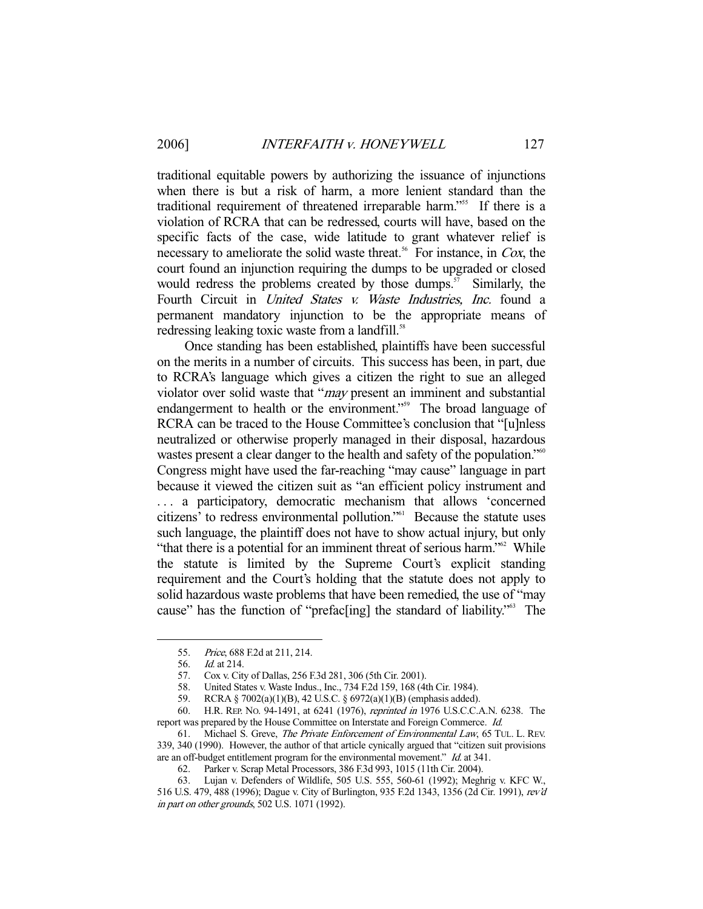traditional equitable powers by authorizing the issuance of injunctions when there is but a risk of harm, a more lenient standard than the traditional requirement of threatened irreparable harm."<sup>55</sup> If there is a violation of RCRA that can be redressed, courts will have, based on the specific facts of the case, wide latitude to grant whatever relief is necessary to ameliorate the solid waste threat.<sup>56</sup> For instance, in Cox, the court found an injunction requiring the dumps to be upgraded or closed would redress the problems created by those dumps. $57$  Similarly, the Fourth Circuit in *United States v. Waste Industries*, *Inc.* found a permanent mandatory injunction to be the appropriate means of redressing leaking toxic waste from a landfill.<sup>58</sup>

 Once standing has been established, plaintiffs have been successful on the merits in a number of circuits. This success has been, in part, due to RCRA's language which gives a citizen the right to sue an alleged violator over solid waste that "*may* present an imminent and substantial endangerment to health or the environment."<sup>59</sup> The broad language of RCRA can be traced to the House Committee's conclusion that "[u]nless neutralized or otherwise properly managed in their disposal, hazardous wastes present a clear danger to the health and safety of the population.<sup>"60</sup> Congress might have used the far-reaching "may cause" language in part because it viewed the citizen suit as "an efficient policy instrument and . . . a participatory, democratic mechanism that allows 'concerned citizens' to redress environmental pollution."61 Because the statute uses such language, the plaintiff does not have to show actual injury, but only "that there is a potential for an imminent threat of serious harm."<sup>62</sup> While the statute is limited by the Supreme Court's explicit standing requirement and the Court's holding that the statute does not apply to solid hazardous waste problems that have been remedied, the use of "may cause" has the function of "prefacting] the standard of liability."<sup>63</sup> The

 <sup>55.</sup> Price, 688 F.2d at 211, 214.

 <sup>56.</sup> Id. at 214.

 <sup>57.</sup> Cox v. City of Dallas, 256 F.3d 281, 306 (5th Cir. 2001).

<sup>58.</sup> United States v. Waste Indus., Inc., 734 F.2d 159, 168 (4th Cir. 1984).<br>59. RCRA § 7002(a)(1)(B), 42 U.S.C. § 6972(a)(1)(B) (emphasis added).

 <sup>59.</sup> RCRA § 7002(a)(1)(B), 42 U.S.C. § 6972(a)(1)(B) (emphasis added).

 <sup>60.</sup> H.R. REP. NO. 94-1491, at 6241 (1976), reprinted in 1976 U.S.C.C.A.N. 6238. The report was prepared by the House Committee on Interstate and Foreign Commerce. Id.

 <sup>61.</sup> Michael S. Greve, The Private Enforcement of Environmental Law, 65 TUL. L. REV. 339, 340 (1990). However, the author of that article cynically argued that "citizen suit provisions are an off-budget entitlement program for the environmental movement." Id. at 341.

 <sup>62.</sup> Parker v. Scrap Metal Processors, 386 F.3d 993, 1015 (11th Cir. 2004).

 <sup>63.</sup> Lujan v. Defenders of Wildlife, 505 U.S. 555, 560-61 (1992); Meghrig v. KFC W., 516 U.S. 479, 488 (1996); Dague v. City of Burlington, 935 F.2d 1343, 1356 (2d Cir. 1991), rev'd in part on other grounds, 502 U.S. 1071 (1992).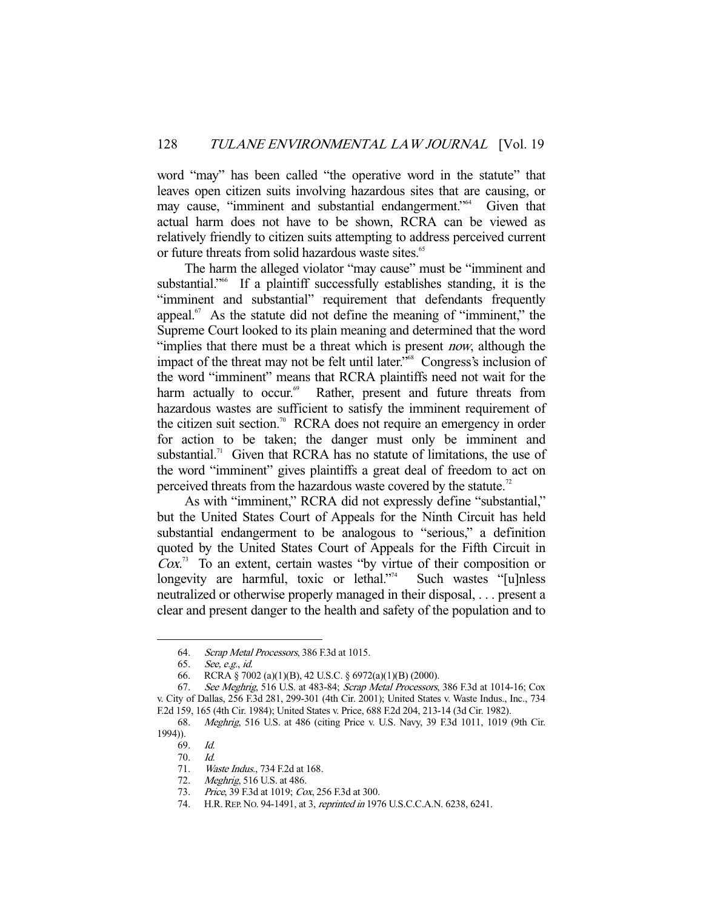word "may" has been called "the operative word in the statute" that leaves open citizen suits involving hazardous sites that are causing, or may cause, "imminent and substantial endangerment."<sup>64</sup> Given that actual harm does not have to be shown, RCRA can be viewed as relatively friendly to citizen suits attempting to address perceived current or future threats from solid hazardous waste sites.<sup>65</sup>

 The harm the alleged violator "may cause" must be "imminent and substantial."<sup>66</sup> If a plaintiff successfully establishes standing, it is the "imminent and substantial" requirement that defendants frequently appeal. $67$  As the statute did not define the meaning of "imminent," the Supreme Court looked to its plain meaning and determined that the word "implies that there must be a threat which is present *now*, although the impact of the threat may not be felt until later."<sup>68</sup> Congress's inclusion of the word "imminent" means that RCRA plaintiffs need not wait for the harm actually to occur.<sup>69</sup> Rather, present and future threats from hazardous wastes are sufficient to satisfy the imminent requirement of the citizen suit section.<sup>70</sup> RCRA does not require an emergency in order for action to be taken; the danger must only be imminent and substantial.<sup>71</sup> Given that RCRA has no statute of limitations, the use of the word "imminent" gives plaintiffs a great deal of freedom to act on perceived threats from the hazardous waste covered by the statute.<sup>72</sup>

 As with "imminent," RCRA did not expressly define "substantial," but the United States Court of Appeals for the Ninth Circuit has held substantial endangerment to be analogous to "serious," a definition quoted by the United States Court of Appeals for the Fifth Circuit in  $Cox$ <sup>3</sup> To an extent, certain wastes "by virtue of their composition or longevity are harmful, toxic or lethal."<sup>74</sup> Such wastes "[u]nless neutralized or otherwise properly managed in their disposal, . . . present a clear and present danger to the health and safety of the population and to

 <sup>64.</sup> Scrap Metal Processors, 386 F.3d at 1015.

 <sup>65.</sup> See, e.g., id.

 <sup>66.</sup> RCRA § 7002 (a)(1)(B), 42 U.S.C. § 6972(a)(1)(B) (2000).

 <sup>67.</sup> See Meghrig, 516 U.S. at 483-84; Scrap Metal Processors, 386 F.3d at 1014-16; Cox v. City of Dallas, 256 F.3d 281, 299-301 (4th Cir. 2001); United States v. Waste Indus., Inc., 734 F.2d 159, 165 (4th Cir. 1984); United States v. Price, 688 F.2d 204, 213-14 (3d Cir. 1982).

 <sup>68.</sup> Meghrig, 516 U.S. at 486 (citing Price v. U.S. Navy, 39 F.3d 1011, 1019 (9th Cir. 1994)).

 <sup>69.</sup> Id.

 <sup>70.</sup> Id.

 <sup>71.</sup> Waste Indus., 734 F.2d at 168.

 <sup>72.</sup> Meghrig, 516 U.S. at 486.

 <sup>73.</sup> Price, 39 F.3d at 1019; Cox, 256 F.3d at 300.

<sup>74.</sup> H.R. REP. No. 94-1491, at 3, reprinted in 1976 U.S.C.C.A.N. 6238, 6241.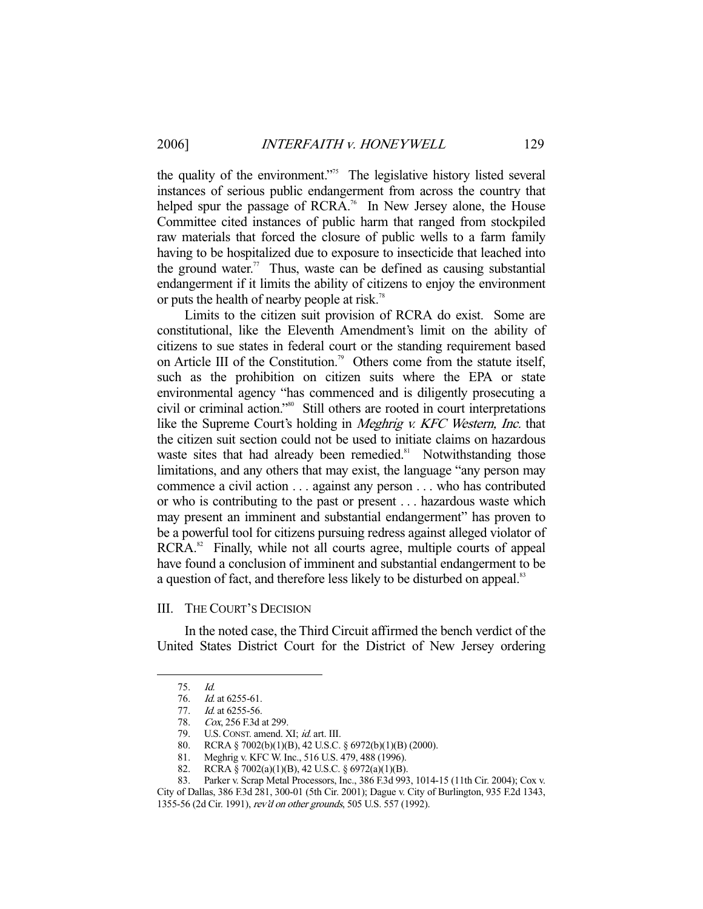the quality of the environment."<sup>75</sup> The legislative history listed several instances of serious public endangerment from across the country that helped spur the passage of RCRA.<sup>76</sup> In New Jersey alone, the House Committee cited instances of public harm that ranged from stockpiled raw materials that forced the closure of public wells to a farm family having to be hospitalized due to exposure to insecticide that leached into the ground water.<sup>77</sup> Thus, waste can be defined as causing substantial endangerment if it limits the ability of citizens to enjoy the environment or puts the health of nearby people at risk.<sup>78</sup>

 Limits to the citizen suit provision of RCRA do exist. Some are constitutional, like the Eleventh Amendment's limit on the ability of citizens to sue states in federal court or the standing requirement based on Article III of the Constitution.<sup>79</sup> Others come from the statute itself, such as the prohibition on citizen suits where the EPA or state environmental agency "has commenced and is diligently prosecuting a civil or criminal action."80 Still others are rooted in court interpretations like the Supreme Court's holding in *Meghrig v. KFC Western, Inc.* that the citizen suit section could not be used to initiate claims on hazardous waste sites that had already been remedied.<sup>81</sup> Notwithstanding those limitations, and any others that may exist, the language "any person may commence a civil action . . . against any person . . . who has contributed or who is contributing to the past or present . . . hazardous waste which may present an imminent and substantial endangerment" has proven to be a powerful tool for citizens pursuing redress against alleged violator of RCRA.<sup>82</sup> Finally, while not all courts agree, multiple courts of appeal have found a conclusion of imminent and substantial endangerment to be a question of fact, and therefore less likely to be disturbed on appeal.<sup>83</sup>

#### III. THE COURT'S DECISION

 In the noted case, the Third Circuit affirmed the bench verdict of the United States District Court for the District of New Jersey ordering

 <sup>75.</sup> Id.

 <sup>76.</sup> Id. at 6255-61.

<sup>77.</sup> *Id.* at 6255-56.

<sup>78.</sup> Cox, 256 F.3d at 299.<br>79. U.S. Const. amend. 2<br>80. RCRA § 7002(b)(1)(1)

U.S. CONST. amend. XI; id. art. III.

<sup>80.</sup> RCRA § 7002(b)(1)(B), 42 U.S.C. § 6972(b)(1)(B) (2000).<br>81. Meghrig v. KFC W. Inc., 516 U.S. 479, 488 (1996).<br>82. RCRA § 7002(a)(1)(B), 42 U.S.C. § 6972(a)(1)(B).

Meghrig v. KFC W. Inc., 516 U.S. 479, 488 (1996).

 <sup>82.</sup> RCRA § 7002(a)(1)(B), 42 U.S.C. § 6972(a)(1)(B).

 <sup>83.</sup> Parker v. Scrap Metal Processors, Inc., 386 F.3d 993, 1014-15 (11th Cir. 2004); Cox v. City of Dallas, 386 F.3d 281, 300-01 (5th Cir. 2001); Dague v. City of Burlington, 935 F.2d 1343,

<sup>1355-56 (2</sup>d Cir. 1991), rev'd on other grounds, 505 U.S. 557 (1992).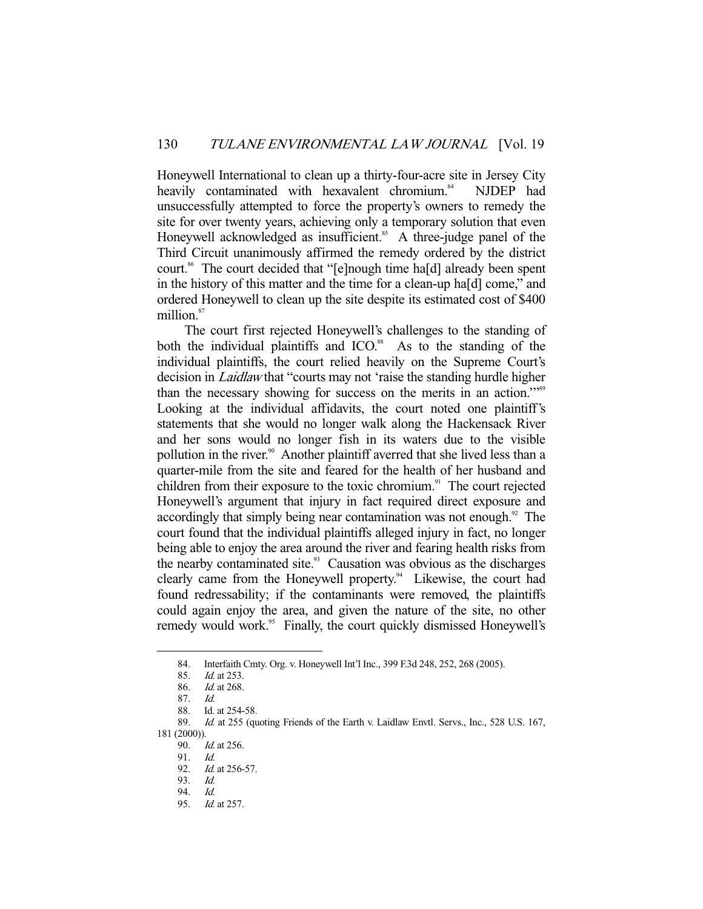Honeywell International to clean up a thirty-four-acre site in Jersey City heavily contaminated with hexavalent chromium.<sup>84</sup> NJDEP had unsuccessfully attempted to force the property's owners to remedy the site for over twenty years, achieving only a temporary solution that even Honeywell acknowledged as insufficient.<sup>85</sup> A three-judge panel of the Third Circuit unanimously affirmed the remedy ordered by the district court.<sup>86</sup> The court decided that "[e]nough time ha[d] already been spent in the history of this matter and the time for a clean-up ha[d] come," and ordered Honeywell to clean up the site despite its estimated cost of \$400 million.<sup>87</sup>

 The court first rejected Honeywell's challenges to the standing of both the individual plaintiffs and  $ICO<sup>88</sup>$ . As to the standing of the individual plaintiffs, the court relied heavily on the Supreme Court's decision in Laidlaw that "courts may not 'raise the standing hurdle higher than the necessary showing for success on the merits in an action."<sup>589</sup> Looking at the individual affidavits, the court noted one plaintiff's statements that she would no longer walk along the Hackensack River and her sons would no longer fish in its waters due to the visible pollution in the river.<sup>90</sup> Another plaintiff averred that she lived less than a quarter-mile from the site and feared for the health of her husband and children from their exposure to the toxic chromium. $91$  The court rejected Honeywell's argument that injury in fact required direct exposure and accordingly that simply being near contamination was not enough. $92$  The court found that the individual plaintiffs alleged injury in fact, no longer being able to enjoy the area around the river and fearing health risks from the nearby contaminated site. $93$  Causation was obvious as the discharges clearly came from the Honeywell property.<sup>94</sup> Likewise, the court had found redressability; if the contaminants were removed, the plaintiffs could again enjoy the area, and given the nature of the site, no other remedy would work.<sup>95</sup> Finally, the court quickly dismissed Honeywell's

 <sup>84.</sup> Interfaith Cmty. Org. v. Honeywell Int'l Inc., 399 F.3d 248, 252, 268 (2005).

<sup>85.</sup> *Id.* at 253.

 <sup>86.</sup> Id. at 268.

 <sup>87.</sup> Id.

 <sup>88.</sup> Id. at 254-58.

 <sup>89.</sup> Id. at 255 (quoting Friends of the Earth v. Laidlaw Envtl. Servs., Inc., 528 U.S. 167, 181 (2000)).

<sup>90.</sup> *Id.* at 256.

<sup>91.</sup> *Id.*<br>92. *Id.* 

Id. at 256-57.

 <sup>93.</sup> Id.

 <sup>94.</sup> Id.

 <sup>95.</sup> Id. at 257.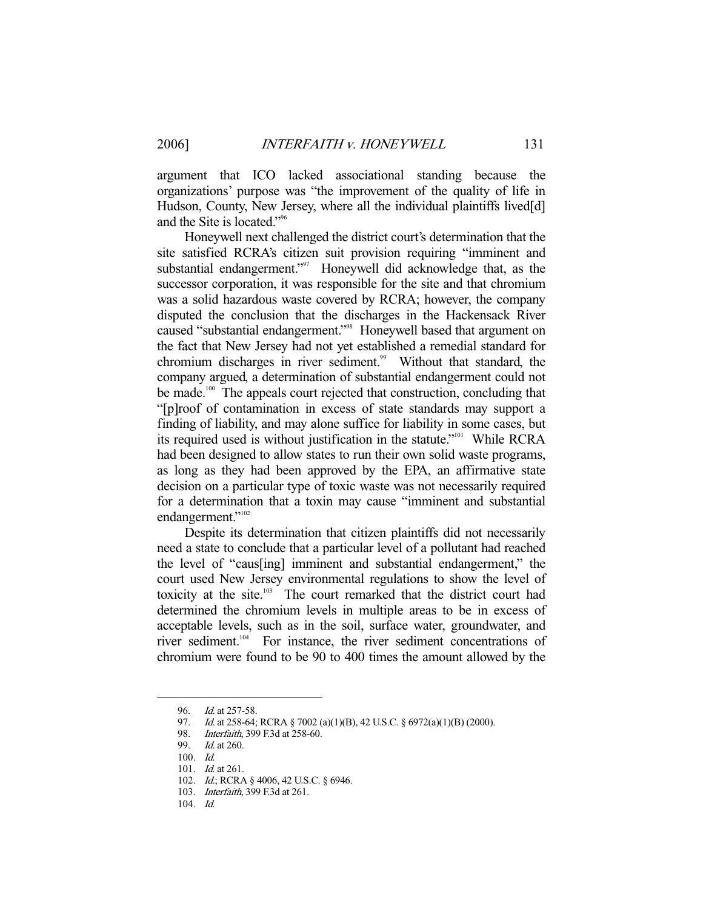argument that ICO lacked associational standing because the organizations' purpose was "the improvement of the quality of life in Hudson, County, New Jersey, where all the individual plaintiffs lived[d] and the Site is located."96

 Honeywell next challenged the district court's determination that the site satisfied RCRA's citizen suit provision requiring "imminent and substantial endangerment."<sup>97</sup> Honeywell did acknowledge that, as the successor corporation, it was responsible for the site and that chromium was a solid hazardous waste covered by RCRA; however, the company disputed the conclusion that the discharges in the Hackensack River caused "substantial endangerment."98 Honeywell based that argument on the fact that New Jersey had not yet established a remedial standard for chromium discharges in river sediment.<sup>99</sup> Without that standard, the company argued, a determination of substantial endangerment could not be made.<sup>100</sup> The appeals court rejected that construction, concluding that "[p]roof of contamination in excess of state standards may support a finding of liability, and may alone suffice for liability in some cases, but its required used is without justification in the statute."101 While RCRA had been designed to allow states to run their own solid waste programs, as long as they had been approved by the EPA, an affirmative state decision on a particular type of toxic waste was not necessarily required for a determination that a toxin may cause "imminent and substantial endangerment."<sup>102</sup>

 Despite its determination that citizen plaintiffs did not necessarily need a state to conclude that a particular level of a pollutant had reached the level of "caus[ing] imminent and substantial endangerment," the court used New Jersey environmental regulations to show the level of toxicity at the site.103 The court remarked that the district court had determined the chromium levels in multiple areas to be in excess of acceptable levels, such as in the soil, surface water, groundwater, and river sediment.<sup>104</sup> For instance, the river sediment concentrations of chromium were found to be 90 to 400 times the amount allowed by the

 <sup>96.</sup> Id. at 257-58.

<sup>97.</sup> *Id.* at 258-64; RCRA § 7002 (a)(1)(B), 42 U.S.C. § 6972(a)(1)(B) (2000).

 <sup>98.</sup> Interfaith, 399 F.3d at 258-60.

 <sup>99.</sup> Id. at 260.

 <sup>100.</sup> Id.

 <sup>101.</sup> Id. at 261.

<sup>102.</sup> *Id.*; RCRA § 4006, 42 U.S.C. § 6946.

 <sup>103.</sup> Interfaith, 399 F.3d at 261.

 <sup>104.</sup> Id.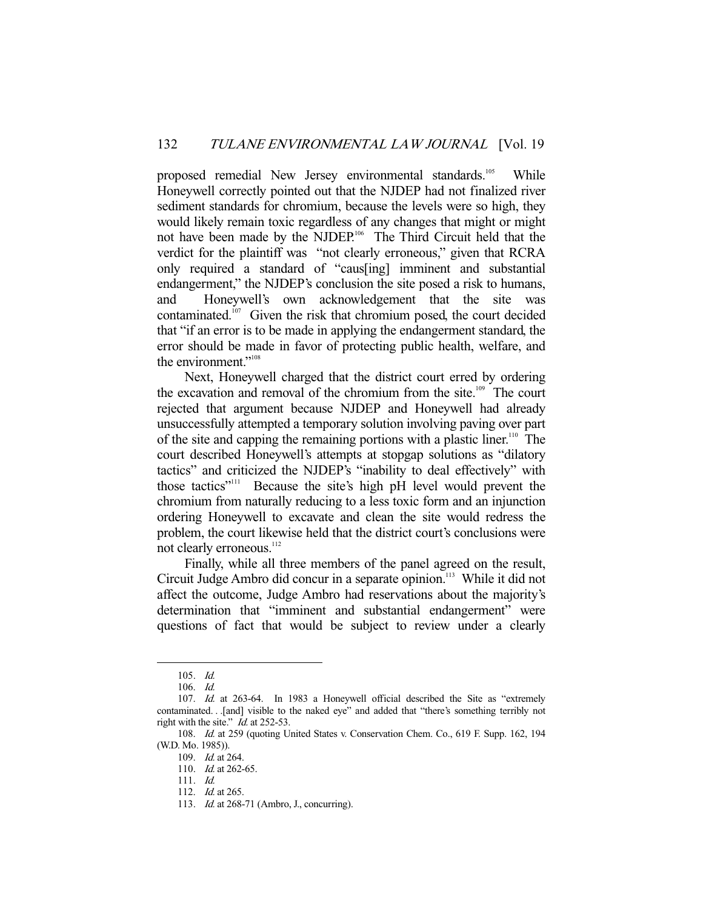proposed remedial New Jersey environmental standards.<sup>105</sup> While Honeywell correctly pointed out that the NJDEP had not finalized river sediment standards for chromium, because the levels were so high, they would likely remain toxic regardless of any changes that might or might not have been made by the NJDEP.106 The Third Circuit held that the verdict for the plaintiff was "not clearly erroneous," given that RCRA only required a standard of "caus[ing] imminent and substantial endangerment," the NJDEP's conclusion the site posed a risk to humans, and Honeywell's own acknowledgement that the site was contaminated.107 Given the risk that chromium posed, the court decided that "if an error is to be made in applying the endangerment standard, the error should be made in favor of protecting public health, welfare, and the environment."<sup>108</sup>

 Next, Honeywell charged that the district court erred by ordering the excavation and removal of the chromium from the site.<sup>109</sup> The court rejected that argument because NJDEP and Honeywell had already unsuccessfully attempted a temporary solution involving paving over part of the site and capping the remaining portions with a plastic liner.<sup>110</sup> The court described Honeywell's attempts at stopgap solutions as "dilatory tactics" and criticized the NJDEP's "inability to deal effectively" with those tactics"111 Because the site's high pH level would prevent the chromium from naturally reducing to a less toxic form and an injunction ordering Honeywell to excavate and clean the site would redress the problem, the court likewise held that the district court's conclusions were not clearly erroneous.<sup>112</sup>

 Finally, while all three members of the panel agreed on the result, Circuit Judge Ambro did concur in a separate opinion.<sup>113</sup> While it did not affect the outcome, Judge Ambro had reservations about the majority's determination that "imminent and substantial endangerment" were questions of fact that would be subject to review under a clearly

 <sup>105.</sup> Id.

 <sup>106.</sup> Id.

 <sup>107.</sup> Id. at 263-64. In 1983 a Honeywell official described the Site as "extremely contaminated. . .[and] visible to the naked eye" and added that "there's something terribly not right with the site." *Id.* at 252-53.

 <sup>108.</sup> Id. at 259 (quoting United States v. Conservation Chem. Co., 619 F. Supp. 162, 194 (W.D. Mo. 1985)).

 <sup>109.</sup> Id. at 264.

<sup>110.</sup> *Id.* at 262-65.

 <sup>111.</sup> Id.

<sup>112.</sup> *Id.* at 265.

<sup>113.</sup> *Id.* at 268-71 (Ambro, J., concurring).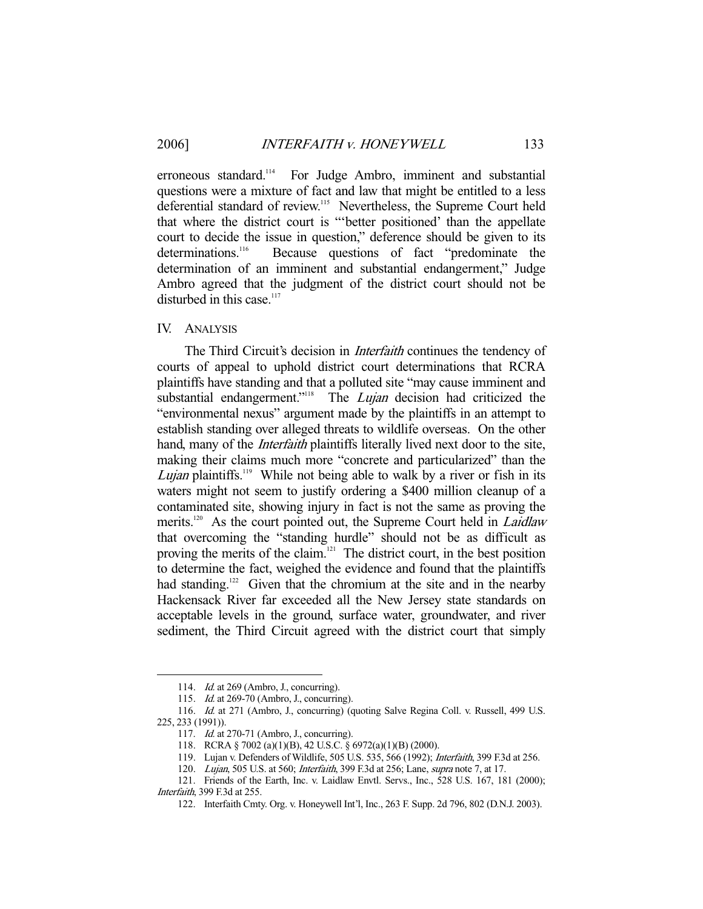erroneous standard.<sup>114</sup> For Judge Ambro, imminent and substantial questions were a mixture of fact and law that might be entitled to a less deferential standard of review.<sup>115</sup> Nevertheless, the Supreme Court held that where the district court is "'better positioned' than the appellate court to decide the issue in question," deference should be given to its determinations.<sup>116</sup> Because questions of fact "predominate the determination of an imminent and substantial endangerment," Judge Ambro agreed that the judgment of the district court should not be disturbed in this case. $117$ 

IV. ANALYSIS

The Third Circuit's decision in *Interfaith* continues the tendency of courts of appeal to uphold district court determinations that RCRA plaintiffs have standing and that a polluted site "may cause imminent and substantial endangerment."<sup>118</sup> The *Lujan* decision had criticized the "environmental nexus" argument made by the plaintiffs in an attempt to establish standing over alleged threats to wildlife overseas. On the other hand, many of the *Interfaith* plaintiffs literally lived next door to the site, making their claims much more "concrete and particularized" than the *Lujan* plaintiffs.<sup>119</sup> While not being able to walk by a river or fish in its waters might not seem to justify ordering a \$400 million cleanup of a contaminated site, showing injury in fact is not the same as proving the merits.<sup>120</sup> As the court pointed out, the Supreme Court held in *Laidlaw* that overcoming the "standing hurdle" should not be as difficult as proving the merits of the claim.<sup>121</sup> The district court, in the best position to determine the fact, weighed the evidence and found that the plaintiffs had standing.<sup>122</sup> Given that the chromium at the site and in the nearby Hackensack River far exceeded all the New Jersey state standards on acceptable levels in the ground, surface water, groundwater, and river sediment, the Third Circuit agreed with the district court that simply

<sup>114.</sup> *Id.* at 269 (Ambro, J., concurring).

<sup>115.</sup> *Id.* at 269-70 (Ambro, J., concurring).

 <sup>116.</sup> Id. at 271 (Ambro, J., concurring) (quoting Salve Regina Coll. v. Russell, 499 U.S. 225, 233 (1991)).

<sup>117.</sup> *Id.* at 270-71 (Ambro, J., concurring).

 <sup>118.</sup> RCRA § 7002 (a)(1)(B), 42 U.S.C. § 6972(a)(1)(B) (2000).

 <sup>119.</sup> Lujan v. Defenders of Wildlife, 505 U.S. 535, 566 (1992); Interfaith, 399 F.3d at 256.

<sup>120.</sup> Lujan, 505 U.S. at 560; Interfaith, 399 F.3d at 256; Lane, supra note 7, at 17.

 <sup>121.</sup> Friends of the Earth, Inc. v. Laidlaw Envtl. Servs., Inc., 528 U.S. 167, 181 (2000); Interfaith, 399 F.3d at 255.

 <sup>122.</sup> Interfaith Cmty. Org. v. Honeywell Int'l, Inc., 263 F. Supp. 2d 796, 802 (D.N.J. 2003).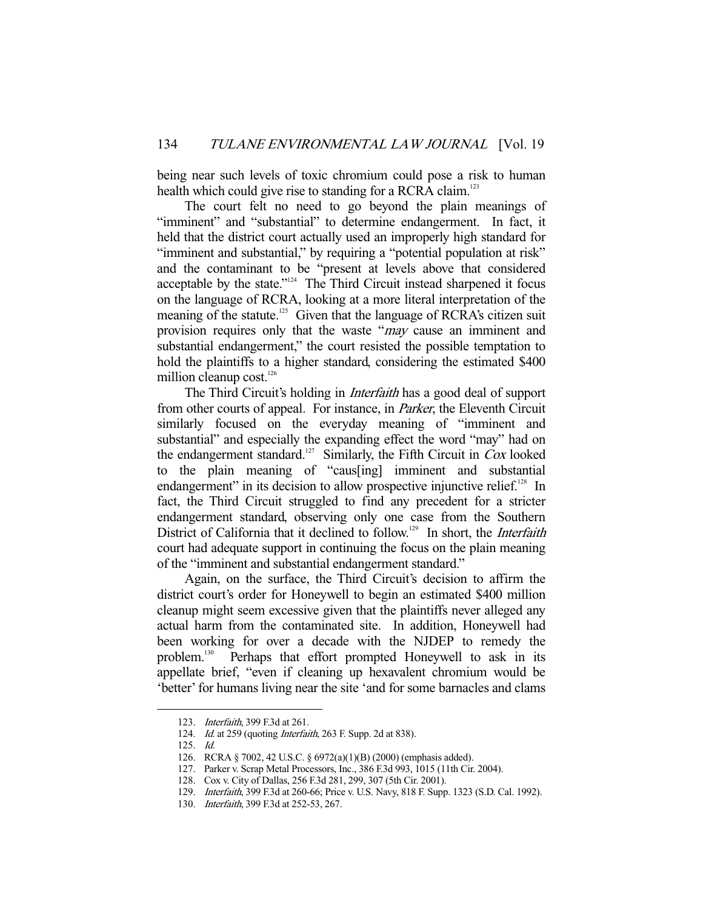being near such levels of toxic chromium could pose a risk to human health which could give rise to standing for a RCRA claim.<sup>123</sup>

 The court felt no need to go beyond the plain meanings of "imminent" and "substantial" to determine endangerment. In fact, it held that the district court actually used an improperly high standard for "imminent and substantial," by requiring a "potential population at risk" and the contaminant to be "present at levels above that considered acceptable by the state."124 The Third Circuit instead sharpened it focus on the language of RCRA, looking at a more literal interpretation of the meaning of the statute.<sup>125</sup> Given that the language of RCRA's citizen suit provision requires only that the waste "*may* cause an imminent and substantial endangerment," the court resisted the possible temptation to hold the plaintiffs to a higher standard, considering the estimated \$400 million cleanup cost. $126$ 

The Third Circuit's holding in *Interfaith* has a good deal of support from other courts of appeal. For instance, in Parker, the Eleventh Circuit similarly focused on the everyday meaning of "imminent and substantial" and especially the expanding effect the word "may" had on the endangerment standard.<sup>127</sup> Similarly, the Fifth Circuit in Cox looked to the plain meaning of "caus[ing] imminent and substantial endangerment" in its decision to allow prospective injunctive relief.<sup>128</sup> In fact, the Third Circuit struggled to find any precedent for a stricter endangerment standard, observing only one case from the Southern District of California that it declined to follow.<sup>129</sup> In short, the *Interfaith* court had adequate support in continuing the focus on the plain meaning of the "imminent and substantial endangerment standard."

 Again, on the surface, the Third Circuit's decision to affirm the district court's order for Honeywell to begin an estimated \$400 million cleanup might seem excessive given that the plaintiffs never alleged any actual harm from the contaminated site. In addition, Honeywell had been working for over a decade with the NJDEP to remedy the problem.130 Perhaps that effort prompted Honeywell to ask in its appellate brief, "even if cleaning up hexavalent chromium would be 'better' for humans living near the site 'and for some barnacles and clams

 <sup>123.</sup> Interfaith, 399 F.3d at 261.

<sup>124.</sup> Id. at 259 (quoting Interfaith, 263 F. Supp. 2d at 838).

 <sup>125.</sup> Id.

 <sup>126.</sup> RCRA § 7002, 42 U.S.C. § 6972(a)(1)(B) (2000) (emphasis added).

 <sup>127.</sup> Parker v. Scrap Metal Processors, Inc., 386 F.3d 993, 1015 (11th Cir. 2004).

 <sup>128.</sup> Cox v. City of Dallas, 256 F.3d 281, 299, 307 (5th Cir. 2001).

 <sup>129.</sup> Interfaith, 399 F.3d at 260-66; Price v. U.S. Navy, 818 F. Supp. 1323 (S.D. Cal. 1992).

 <sup>130.</sup> Interfaith, 399 F.3d at 252-53, 267.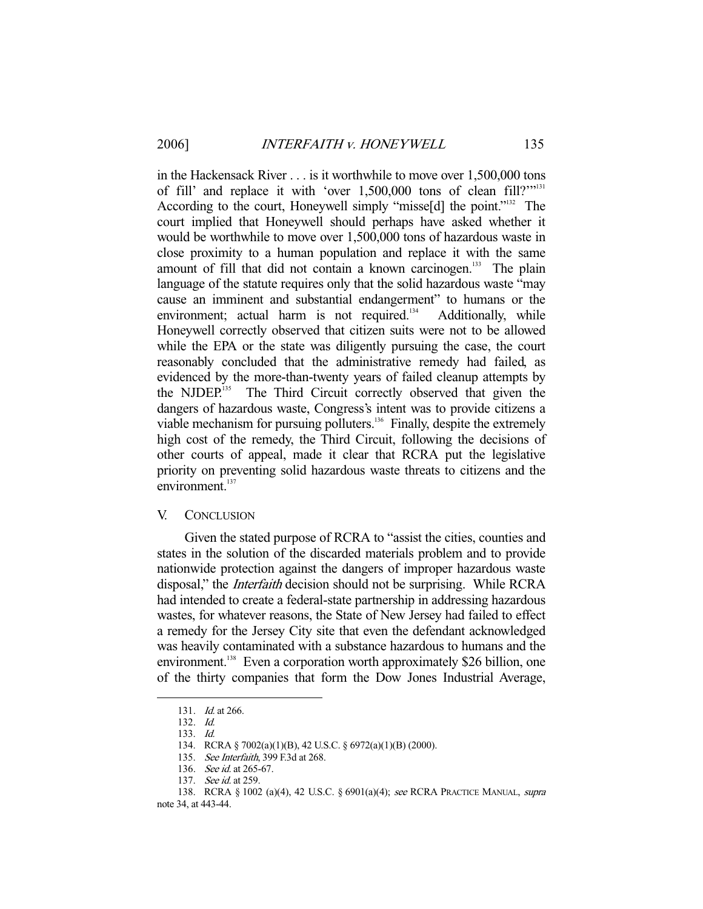in the Hackensack River . . . is it worthwhile to move over 1,500,000 tons of fill' and replace it with 'over 1,500,000 tons of clean fill?'"131 According to the court, Honeywell simply "misse<sup>[d]</sup> the point."<sup>132</sup> The court implied that Honeywell should perhaps have asked whether it would be worthwhile to move over 1,500,000 tons of hazardous waste in close proximity to a human population and replace it with the same amount of fill that did not contain a known carcinogen. $133$  The plain language of the statute requires only that the solid hazardous waste "may cause an imminent and substantial endangerment" to humans or the environment; actual harm is not required.<sup>134</sup> Additionally, while Honeywell correctly observed that citizen suits were not to be allowed while the EPA or the state was diligently pursuing the case, the court reasonably concluded that the administrative remedy had failed, as evidenced by the more-than-twenty years of failed cleanup attempts by the NJDEP.<sup>135</sup> The Third Circuit correctly observed that given the dangers of hazardous waste, Congress's intent was to provide citizens a viable mechanism for pursuing polluters.<sup>136</sup> Finally, despite the extremely high cost of the remedy, the Third Circuit, following the decisions of other courts of appeal, made it clear that RCRA put the legislative priority on preventing solid hazardous waste threats to citizens and the environment.<sup>137</sup>

#### V. CONCLUSION

 Given the stated purpose of RCRA to "assist the cities, counties and states in the solution of the discarded materials problem and to provide nationwide protection against the dangers of improper hazardous waste disposal," the *Interfaith* decision should not be surprising. While RCRA had intended to create a federal-state partnership in addressing hazardous wastes, for whatever reasons, the State of New Jersey had failed to effect a remedy for the Jersey City site that even the defendant acknowledged was heavily contaminated with a substance hazardous to humans and the environment.<sup>138</sup> Even a corporation worth approximately \$26 billion, one of the thirty companies that form the Dow Jones Industrial Average,

 <sup>131.</sup> Id. at 266.

 <sup>132.</sup> Id.

 <sup>133.</sup> Id.

 <sup>134.</sup> RCRA § 7002(a)(1)(B), 42 U.S.C. § 6972(a)(1)(B) (2000).

<sup>135.</sup> See Interfaith, 399 F.3d at 268.

<sup>136.</sup> See id. at 265-67.

 <sup>137.</sup> See id. at 259.

<sup>138.</sup> RCRA § 1002 (a)(4), 42 U.S.C. § 6901(a)(4); see RCRA PRACTICE MANUAL, supra note 34, at 443-44.